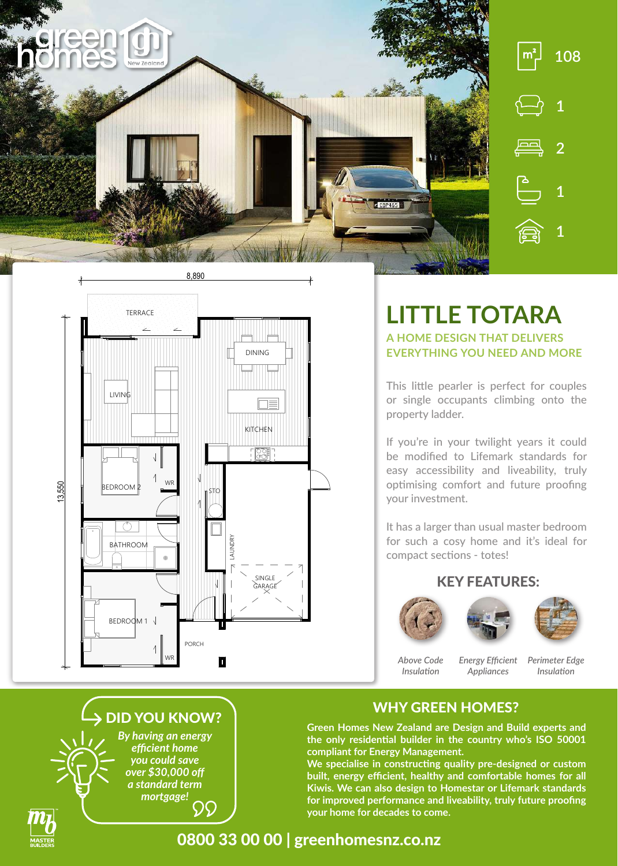



# **LITTLE TOTARA**

**A HOME DESIGN THAT DELIVERS EVERYTHING YOU NEED AND MORE**

This little pearler is perfect for couples or single occupants climbing onto the property ladder.

If you're in your twilight years it could be modified to Lifemark standards for easy accessibility and liveability, truly optimising comfort and future proofing your investment.

It has a larger than usual master bedroom for such a cosy home and it's ideal for compact sections - totes!

#### KEY FEATURES:







*Above Code Insulation*

*Appliances*

*Energy Efficient Perimeter Edge Insulation*

### WHY GREEN HOMES?

**Green Homes New Zealand are Design and Build experts and the only residential builder in the country who's ISO 50001 compliant for Energy Management.**

**We specialise in constructing quality pre-designed or custom built, energy efficient, healthy and comfortable homes for all Kiwis. We can also design to Homestar or Lifemark standards for improved performance and liveability, truly future proofing your home for decades to come.**





*By having an energy efficient home you could save over \$30,000 off a standard term mortgage!* 



## 0800 33 00 00 | greenhomesnz.co.nz